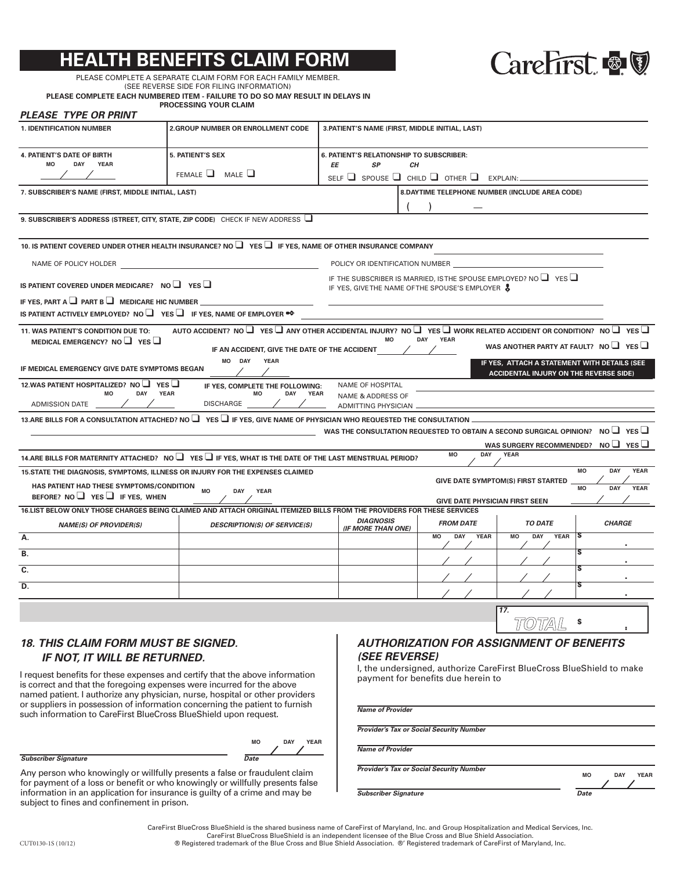## **BENEFITS CLAIM**



PLEASE COMPLETE A SEPARATE CLAIM FORM FOR EACH FAMILY MEMBER. (SEE REVERSE SIDE FOR FILING INFORMATION)

**PLEASE COMPLETE EACH NUMBERED ITEM - FAILURE TO DO SO MAY RESULT IN DELAYS IN PROCESSING YOUR CLAIM** 

## *PLEASE TYPE OR PRINT*

| <b>1. IDENTIFICATION NUMBER</b>                                                                                                                                                                                                                                                                                                                                                         | <b>2.GROUP NUMBER OR ENROLLMENT CODE</b>                                     | 3. PATIENT'S NAME (FIRST, MIDDLE INITIAL, LAST)                          |                                                                                                                               |                                               |                                 |  |
|-----------------------------------------------------------------------------------------------------------------------------------------------------------------------------------------------------------------------------------------------------------------------------------------------------------------------------------------------------------------------------------------|------------------------------------------------------------------------------|--------------------------------------------------------------------------|-------------------------------------------------------------------------------------------------------------------------------|-----------------------------------------------|---------------------------------|--|
| <b>4. PATIENT'S DATE OF BIRTH</b><br>DAY<br><b>YEAR</b><br>MO                                                                                                                                                                                                                                                                                                                           | <b>5. PATIENT'S SEX</b>                                                      | <b>6. PATIENT'S RELATIONSHIP TO SUBSCRIBER:</b><br>ΕE<br><b>SP</b><br>CН |                                                                                                                               |                                               |                                 |  |
|                                                                                                                                                                                                                                                                                                                                                                                         | FEMALE $\Box$ MALE $\Box$                                                    | SELF $\Box$ SPOUSE $\Box$ CHILD $\Box$ OTHER $\Box$ EXPLAIN:             |                                                                                                                               |                                               |                                 |  |
| 8. DAYTIME TELEPHONE NUMBER (INCLUDE AREA CODE)<br>7. SUBSCRIBER'S NAME (FIRST, MIDDLE INITIAL, LAST)                                                                                                                                                                                                                                                                                   |                                                                              |                                                                          |                                                                                                                               |                                               |                                 |  |
|                                                                                                                                                                                                                                                                                                                                                                                         |                                                                              |                                                                          |                                                                                                                               |                                               |                                 |  |
| 9. SUBSCRIBER'S ADDRESS (STREET, CITY, STATE, ZIP CODE) CHECK IF NEW ADDRESS U                                                                                                                                                                                                                                                                                                          |                                                                              |                                                                          |                                                                                                                               |                                               |                                 |  |
| 10. IS PATIENT COVERED UNDER OTHER HEALTH INSURANCE? NO $\Box$ YES $\Box$ IF YES. NAME OF OTHER INSURANCE COMPANY                                                                                                                                                                                                                                                                       |                                                                              |                                                                          |                                                                                                                               |                                               |                                 |  |
| POLICY OR IDENTIFICATION NUMBER<br>NAME OF POLICY HOLDER                                                                                                                                                                                                                                                                                                                                |                                                                              |                                                                          |                                                                                                                               |                                               |                                 |  |
| IS PATIENT COVERED UNDER MEDICARE? NO $\Box$ YES $\Box$                                                                                                                                                                                                                                                                                                                                 |                                                                              |                                                                          | IF THE SUBSCRIBER IS MARRIED, IS THE SPOUSE EMPLOYED? NO $\Box$ YES $\Box$<br>IF YES, GIVETHE NAME OF THE SPOUSE'S EMPLOYER & |                                               |                                 |  |
| IF YES, PART A $\Box$ PART B $\Box$ MEDICARE HIC NUMBER                                                                                                                                                                                                                                                                                                                                 |                                                                              |                                                                          |                                                                                                                               |                                               |                                 |  |
| IS PATIENT ACTIVELY EMPLOYED? NO $\Box$ YES $\Box$ IF YES. NAME OF EMPLOYER $\bullet \diamond$                                                                                                                                                                                                                                                                                          |                                                                              |                                                                          |                                                                                                                               |                                               |                                 |  |
| AUTO ACCIDENT? NO $\Box$ YES $\Box$ ANY OTHER ACCIDENTAL INJURY? NO $\Box$ YES $\Box$ WORK RELATED ACCIDENT OR CONDITION? NO $\Box$ YES $\Box$<br>11. WAS PATIENT'S CONDITION DUE TO:<br><b>MO</b><br>DAY YEAR<br>MEDICAL EMERGENCY? NO $\Box$ YES $\Box$<br>WAS ANOTHER PARTY AT FAULT? NO $\Box$ YES $\Box$<br>IF AN ACCIDENT, GIVE THE DATE OF THE ACCIDENT<br>MO DAY<br><b>YEAR</b> |                                                                              |                                                                          |                                                                                                                               |                                               |                                 |  |
| IF YES, ATTACH A STATEMENT WITH DETAILS (SEE<br>IF MEDICAL EMERGENCY GIVE DATE SYMPTOMS BEGAN<br><b>ACCIDENTAL INJURY ON THE REVERSE SIDE)</b>                                                                                                                                                                                                                                          |                                                                              |                                                                          |                                                                                                                               |                                               |                                 |  |
| 12. WAS PATIENT HOSPITALIZED? NO I YES<br>MO<br>DAY<br><b>YEAR</b><br>ADMISSION DATE                                                                                                                                                                                                                                                                                                    | IF YES, COMPLETE THE FOLLOWING:<br><b>MO</b><br>DAY YEAR<br><b>DISCHARGE</b> | NAME OF HOSPITAL<br><b>NAME &amp; ADDRESS OF</b>                         |                                                                                                                               |                                               |                                 |  |
| ADMITTING PHYSICIAN<br>13.ARE BILLS FOR A CONSULTATION ATTACHED? NO $\Box$ YES $\Box$ IF YES. GIVE NAME OF PHYSICIAN WHO REQUESTED THE CONSULTATION .                                                                                                                                                                                                                                   |                                                                              |                                                                          |                                                                                                                               |                                               |                                 |  |
|                                                                                                                                                                                                                                                                                                                                                                                         |                                                                              |                                                                          | WAS THE CONSULTATION REQUESTED TO OBTAIN A SECOND SURGICAL OPINION? NO $\Box$ YES $\Box$                                      |                                               |                                 |  |
|                                                                                                                                                                                                                                                                                                                                                                                         |                                                                              |                                                                          |                                                                                                                               | WAS SURGERY RECOMMENDED? NO $\Box$ YES $\Box$ |                                 |  |
| 14. ARE BILLS FOR MATERNITY ATTACHED? NO $\Box$ YES $\Box$ IF YES, WHAT IS THE DATE OF THE LAST MENSTRUAL PERIOD?                                                                                                                                                                                                                                                                       |                                                                              |                                                                          | <b>MO</b><br>DAY                                                                                                              | <b>YEAR</b>                                   |                                 |  |
| 15. STATE THE DIAGNOSIS, SYMPTOMS, ILLNESS OR INJURY FOR THE EXPENSES CLAIMED                                                                                                                                                                                                                                                                                                           |                                                                              |                                                                          |                                                                                                                               | <b>GIVE DATE SYMPTOM(S) FIRST STARTED</b>     | <b>MO</b><br>DAY<br><b>YEAR</b> |  |
| HAS PATIENT HAD THESE SYMPTOMS/CONDITION<br>BEFORE? NO $\Box$ YES $\Box$ IF YES, WHEN                                                                                                                                                                                                                                                                                                   | MO<br><b>DAY</b><br><b>YEAR</b>                                              |                                                                          |                                                                                                                               |                                               | <b>YEAR</b><br><b>MO</b><br>DAY |  |
| 16.LIST BELOW ONLY THOSE CHARGES BEING CLAIMED AND ATTACH ORIGINAL ITEMIZED BILLS FROM THE PROVIDERS FOR THESE SERVICES                                                                                                                                                                                                                                                                 |                                                                              |                                                                          | <b>GIVE DATE PHYSICIAN FIRST SEEN</b>                                                                                         |                                               |                                 |  |
| <b>NAME(S) OF PROVIDER(S)</b>                                                                                                                                                                                                                                                                                                                                                           | <b>DESCRIPTION(S) OF SERVICE(S)</b>                                          | <b>DIAGNOSIS</b><br>(IF MORE THAN ONE)                                   | <b>FROM DATE</b>                                                                                                              | <b>TO DATE</b>                                | <b>CHARGE</b>                   |  |
| А.                                                                                                                                                                                                                                                                                                                                                                                      |                                                                              |                                                                          | DAY<br><b>YEAR</b><br>MO                                                                                                      | <b>YEAR</b><br><b>DAY</b><br>MO               | ١S                              |  |
| В.                                                                                                                                                                                                                                                                                                                                                                                      |                                                                              |                                                                          |                                                                                                                               |                                               | ς                               |  |
| C.                                                                                                                                                                                                                                                                                                                                                                                      |                                                                              |                                                                          |                                                                                                                               |                                               |                                 |  |
| D.                                                                                                                                                                                                                                                                                                                                                                                      |                                                                              |                                                                          |                                                                                                                               |                                               |                                 |  |
|                                                                                                                                                                                                                                                                                                                                                                                         | $\sqrt{17}$ .                                                                |                                                                          |                                                                                                                               |                                               |                                 |  |

*18. THIS CLAIM FORM MUST BE SIGNED. IF NOT, IT WILL BE RETURNED.* 

I request benefits for these expenses and certify that the above information is correct and that the foregoing expenses were incurred for the above named patient. I authorize any physician, nurse, hospital or other providers or suppliers in possession of information concerning the patient to furnish such information to CareFirst BlueCross BlueShield upon request.

| $\sim$ | <b>DAV</b> | "AR |
|--------|------------|-----|
|        |            |     |
|        |            |     |

**Subscriber Signature** Date

Any person who knowingly or willfully presents a false or fraudulent claim for payment of a loss or benefit or who knowingly or willfully presents false information in an application for insurance is guilty of a crime and may be subject to fines and confinement in prison.

#### *AUTHORIZATION FOR ASSIGNMENT OF BENEFITS (SEE REVERSE)*

I, the undersigned, authorize CareFirst BlueCross BlueShield to make payment for benefits due herein to

11/0) 17/4\ 1L

*Name of Provider* 

*Provider's Tax or Social Security Number* 

*Name of Provider* 

*Provider's Tax or Social Security Number* 

**Subscriber Signature** Date

**MO DAY YEAR** 

**\$ . .** 

CareFirst BlueCross BlueShield is the shared business name of CareFirst of Maryland, Inc. and Group Hospitalization and Medical Services, Inc. CareFirst BlueCross BlueShield is an independent licensee of the Blue Cross and Blue Shield Association. CUT0130-1S (10/12) ® Registered trademark of the Blue Cross and Blue Shield Association. ®' Registered trademark of CareFirst of Maryland, Inc.